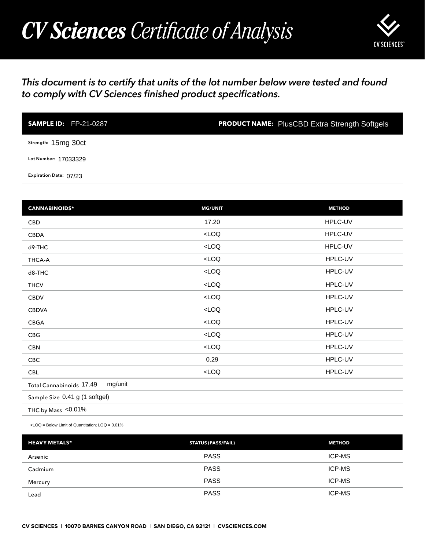## *CV Sciences Certificate of Analysis*



## *This document is to certify that units of the lot number below were tested and found to comply with CV Sciences finished product specifications.*

| <b>SAMPLE ID:</b> FP-21-0287 | <b>PRODUCT NAME:</b> PlusCBD Extra Strength Softgels |
|------------------------------|------------------------------------------------------|
| Strength: 15mg 30ct          |                                                      |
| Lot Number: 17033329         |                                                      |
| Expiration Date: 07/23       |                                                      |

| <b>SAMPLE ID: FP-21-0287</b>                                                                   | <b>PRODUCT NAME:</b> PlusCBD Extra Strength Softgels |               |
|------------------------------------------------------------------------------------------------|------------------------------------------------------|---------------|
| Strength: 15mg 30ct                                                                            |                                                      |               |
| Lot Number: 17033329                                                                           |                                                      |               |
| Expiration Date: 07/23                                                                         |                                                      |               |
|                                                                                                |                                                      |               |
| <b>CANNABINOIDS*</b>                                                                           | <b>MG/UNIT</b>                                       | <b>METHOD</b> |
| CBD                                                                                            | 17.20                                                | HPLC-UV       |
| CBDA                                                                                           | $<$ LOQ                                              | HPLC-UV       |
| d9-THC                                                                                         | LOO                                                  | HPLC-UV       |
| THCA-A                                                                                         | $<$ LOQ                                              | HPLC-UV       |
| d8-THC                                                                                         | $<$ LOQ                                              | HPLC-UV       |
| <b>THCV</b>                                                                                    | $<$ LOQ                                              | HPLC-UV       |
| <b>CBDV</b>                                                                                    | LOO                                                  | HPLC-UV       |
| <b>CBDVA</b>                                                                                   | LOO                                                  | HPLC-UV       |
| CBGA                                                                                           | LOO                                                  | HPLC-UV       |
| CBG                                                                                            | $<$ LOQ                                              | HPLC-UV       |
| <b>CBN</b>                                                                                     | LOO                                                  | HPLC-UV       |
| CBC                                                                                            | 0.29                                                 | HPLC-UV       |
| <b>CBL</b>                                                                                     | $<$ LOQ                                              | HPLC-UV       |
| mg/unit<br>Total Cannabinoids 17.49                                                            |                                                      |               |
| Sample Size 0.41 g (1 softgel)                                                                 |                                                      |               |
| THC by Mass <0.01%                                                                             |                                                      |               |
| <loq =="" below="" limit="" loq="0.01%&lt;/td" of="" quantitation;=""><td></td><td></td></loq> |                                                      |               |
| <b>HEAVY METALS*</b>                                                                           | <b>STATUS (PASS/FAIL)</b>                            | <b>METHOD</b> |
| Arsenic                                                                                        | <b>PASS</b>                                          | ICP-MS        |
| Cadmium                                                                                        | <b>PASS</b>                                          | ICP-MS        |
| Mercury                                                                                        | <b>PASS</b>                                          | ICP-MS        |
| Lead                                                                                           | <b>PASS</b>                                          | ICP-MS        |

| <b>HEAVY METALS*</b> | <b>STATUS (PASS/FAIL)</b> | <b>METHOD</b> |
|----------------------|---------------------------|---------------|
| Arsenic              | <b>PASS</b>               | <b>ICP-MS</b> |
| Cadmium              | <b>PASS</b>               | <b>ICP-MS</b> |
| Mercury              | <b>PASS</b>               | <b>ICP-MS</b> |
| Lead                 | <b>PASS</b>               | <b>ICP-MS</b> |